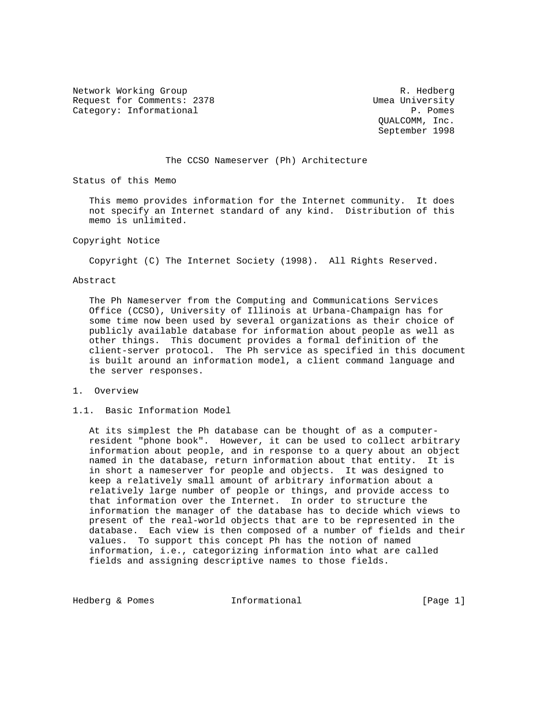Network Working Group and Monthlythe Communications of the R. Hedberg Request for Comments: 2378 Umea University Category: Informational  $P.$  Pomes

 QUALCOMM, Inc. September 1998

# The CCSO Nameserver (Ph) Architecture

Status of this Memo

 This memo provides information for the Internet community. It does not specify an Internet standard of any kind. Distribution of this memo is unlimited.

#### Copyright Notice

Copyright (C) The Internet Society (1998). All Rights Reserved.

#### Abstract

 The Ph Nameserver from the Computing and Communications Services Office (CCSO), University of Illinois at Urbana-Champaign has for some time now been used by several organizations as their choice of publicly available database for information about people as well as other things. This document provides a formal definition of the client-server protocol. The Ph service as specified in this document is built around an information model, a client command language and the server responses.

### 1. Overview

#### 1.1. Basic Information Model

 At its simplest the Ph database can be thought of as a computer resident "phone book". However, it can be used to collect arbitrary information about people, and in response to a query about an object named in the database, return information about that entity. It is in short a nameserver for people and objects. It was designed to keep a relatively small amount of arbitrary information about a relatively large number of people or things, and provide access to that information over the Internet. In order to structure the information the manager of the database has to decide which views to present of the real-world objects that are to be represented in the database. Each view is then composed of a number of fields and their values. To support this concept Ph has the notion of named information, i.e., categorizing information into what are called fields and assigning descriptive names to those fields.

Hedberg & Pomes **Informational** [Page 1]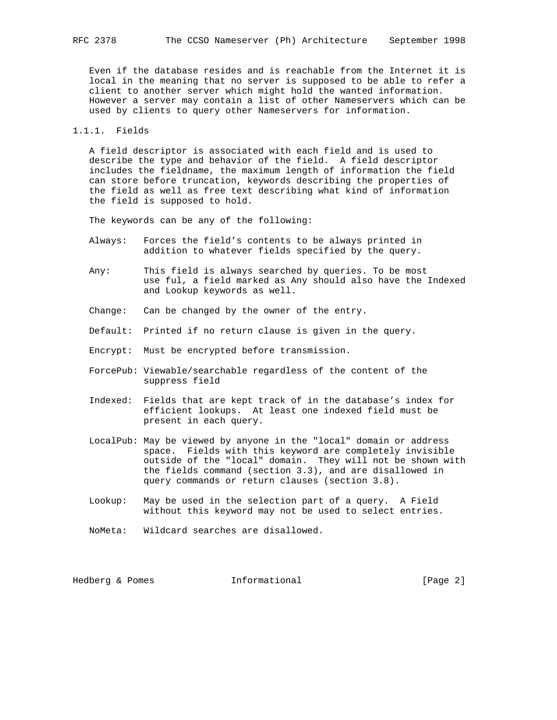Even if the database resides and is reachable from the Internet it is local in the meaning that no server is supposed to be able to refer a client to another server which might hold the wanted information. However a server may contain a list of other Nameservers which can be used by clients to query other Nameservers for information.

## 1.1.1. Fields

 A field descriptor is associated with each field and is used to describe the type and behavior of the field. A field descriptor includes the fieldname, the maximum length of information the field can store before truncation, keywords describing the properties of the field as well as free text describing what kind of information the field is supposed to hold.

The keywords can be any of the following:

- Always: Forces the field's contents to be always printed in addition to whatever fields specified by the query.
- Any: This field is always searched by queries. To be most use ful, a field marked as Any should also have the Indexed and Lookup keywords as well.
- Change: Can be changed by the owner of the entry.
- Default: Printed if no return clause is given in the query.
- Encrypt: Must be encrypted before transmission.
- ForcePub: Viewable/searchable regardless of the content of the suppress field
- Indexed: Fields that are kept track of in the database's index for efficient lookups. At least one indexed field must be present in each query.
- LocalPub: May be viewed by anyone in the "local" domain or address space. Fields with this keyword are completely invisible outside of the "local" domain. They will not be shown with the fields command (section 3.3), and are disallowed in query commands or return clauses (section 3.8).
- Lookup: May be used in the selection part of a query. A Field without this keyword may not be used to select entries.

NoMeta: Wildcard searches are disallowed.

Hedberg & Pomes **Informational** [Page 2]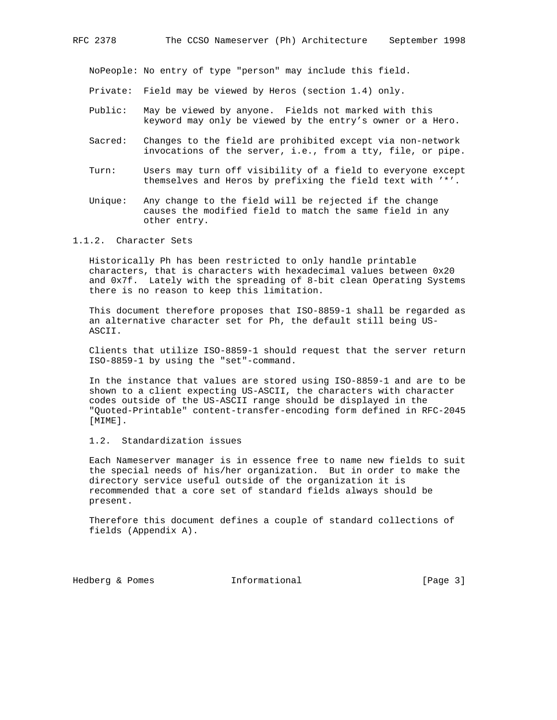NoPeople: No entry of type "person" may include this field.

- Private: Field may be viewed by Heros (section 1.4) only.
- Public: May be viewed by anyone. Fields not marked with this keyword may only be viewed by the entry's owner or a Hero.
- Sacred: Changes to the field are prohibited except via non-network invocations of the server, i.e., from a tty, file, or pipe.
- Turn: Users may turn off visibility of a field to everyone except themselves and Heros by prefixing the field text with '\*'.
- Unique: Any change to the field will be rejected if the change causes the modified field to match the same field in any other entry.

#### 1.1.2. Character Sets

 Historically Ph has been restricted to only handle printable characters, that is characters with hexadecimal values between 0x20 and 0x7f. Lately with the spreading of 8-bit clean Operating Systems there is no reason to keep this limitation.

 This document therefore proposes that ISO-8859-1 shall be regarded as an alternative character set for Ph, the default still being US- ASCII.

 Clients that utilize ISO-8859-1 should request that the server return ISO-8859-1 by using the "set"-command.

 In the instance that values are stored using ISO-8859-1 and are to be shown to a client expecting US-ASCII, the characters with character codes outside of the US-ASCII range should be displayed in the "Quoted-Printable" content-transfer-encoding form defined in RFC-2045 [MIME].

## 1.2. Standardization issues

 Each Nameserver manager is in essence free to name new fields to suit the special needs of his/her organization. But in order to make the directory service useful outside of the organization it is recommended that a core set of standard fields always should be present.

 Therefore this document defines a couple of standard collections of fields (Appendix A).

Hedberg & Pomes **Informational** [Page 3]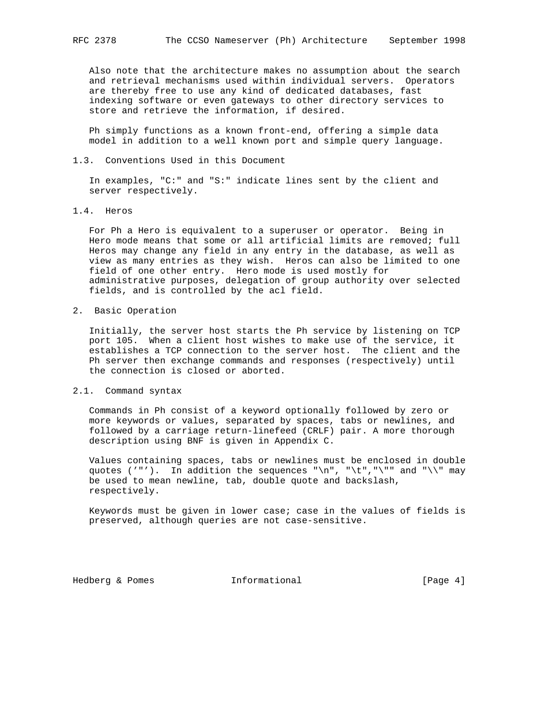Also note that the architecture makes no assumption about the search and retrieval mechanisms used within individual servers. Operators are thereby free to use any kind of dedicated databases, fast indexing software or even gateways to other directory services to store and retrieve the information, if desired.

 Ph simply functions as a known front-end, offering a simple data model in addition to a well known port and simple query language.

#### 1.3. Conventions Used in this Document

 In examples, "C:" and "S:" indicate lines sent by the client and server respectively.

1.4. Heros

 For Ph a Hero is equivalent to a superuser or operator. Being in Hero mode means that some or all artificial limits are removed; full Heros may change any field in any entry in the database, as well as view as many entries as they wish. Heros can also be limited to one field of one other entry. Hero mode is used mostly for administrative purposes, delegation of group authority over selected fields, and is controlled by the acl field.

#### 2. Basic Operation

 Initially, the server host starts the Ph service by listening on TCP port 105. When a client host wishes to make use of the service, it establishes a TCP connection to the server host. The client and the Ph server then exchange commands and responses (respectively) until the connection is closed or aborted.

#### 2.1. Command syntax

 Commands in Ph consist of a keyword optionally followed by zero or more keywords or values, separated by spaces, tabs or newlines, and followed by a carriage return-linefeed (CRLF) pair. A more thorough description using BNF is given in Appendix C.

 Values containing spaces, tabs or newlines must be enclosed in double quotes ('"'). In addition the sequences "\n", "\t", "\"" and "\\" may be used to mean newline, tab, double quote and backslash, respectively.

 Keywords must be given in lower case; case in the values of fields is preserved, although queries are not case-sensitive.

Hedberg & Pomes **Informational** [Page 4]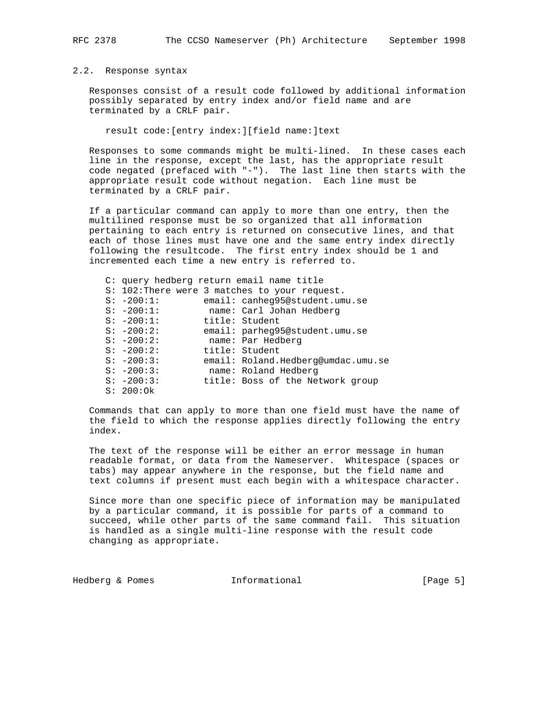2.2. Response syntax

 Responses consist of a result code followed by additional information possibly separated by entry index and/or field name and are terminated by a CRLF pair.

result code:[entry index:][field name:]text

 Responses to some commands might be multi-lined. In these cases each line in the response, except the last, has the appropriate result code negated (prefaced with "-"). The last line then starts with the appropriate result code without negation. Each line must be terminated by a CRLF pair.

 If a particular command can apply to more than one entry, then the multilined response must be so organized that all information pertaining to each entry is returned on consecutive lines, and that each of those lines must have one and the same entry index directly following the resultcode. The first entry index should be 1 and incremented each time a new entry is referred to.

|              | C: query hedberg return email name title      |
|--------------|-----------------------------------------------|
|              | S: 102: There were 3 matches to your request. |
| $S: -200:1:$ | email: canheg95@student.umu.se                |
| $S: -200:1:$ | name: Carl Johan Hedberg                      |
| $S: -200:1:$ | title: Student                                |
| $S: -200:2:$ | email: parheg95@student.umu.se                |
| $S: -200:2:$ | name: Par Hedberg                             |
| $S: -200:2:$ | title: Student                                |
| $S: -200:3:$ | email: Roland.Hedberg@umdac.umu.se            |
| $S: -200:3:$ | name: Roland Hedberg                          |
| $S: -200:3:$ | title: Boss of the Network group              |
| S: 200:Ok    |                                               |

 Commands that can apply to more than one field must have the name of the field to which the response applies directly following the entry index.

 The text of the response will be either an error message in human readable format, or data from the Nameserver. Whitespace (spaces or tabs) may appear anywhere in the response, but the field name and text columns if present must each begin with a whitespace character.

 Since more than one specific piece of information may be manipulated by a particular command, it is possible for parts of a command to succeed, while other parts of the same command fail. This situation is handled as a single multi-line response with the result code changing as appropriate.

Hedberg & Pomes **Informational** [Page 5]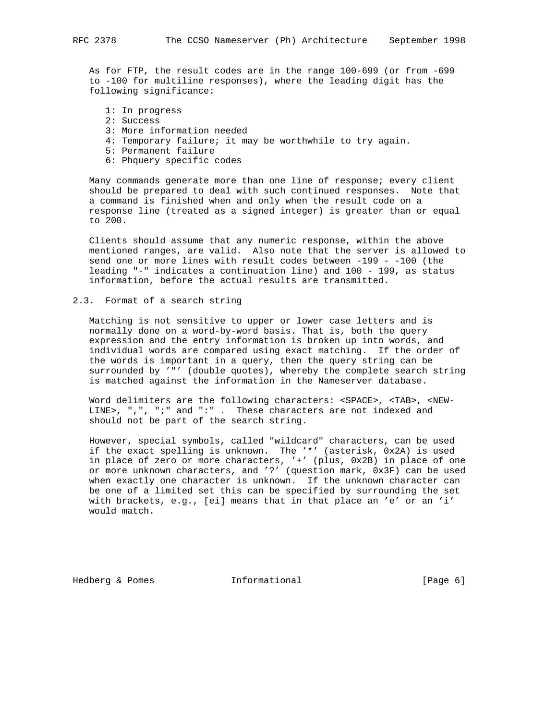As for FTP, the result codes are in the range 100-699 (or from -699 to -100 for multiline responses), where the leading digit has the following significance:

- 1: In progress 2: Success 3: More information needed 4: Temporary failure; it may be worthwhile to try again. 5: Permanent failure
- 6: Phquery specific codes

 Many commands generate more than one line of response; every client should be prepared to deal with such continued responses. Note that a command is finished when and only when the result code on a response line (treated as a signed integer) is greater than or equal to 200.

 Clients should assume that any numeric response, within the above mentioned ranges, are valid. Also note that the server is allowed to send one or more lines with result codes between -199 - -100 (the leading "-" indicates a continuation line) and 100 - 199, as status information, before the actual results are transmitted.

## 2.3. Format of a search string

 Matching is not sensitive to upper or lower case letters and is normally done on a word-by-word basis. That is, both the query expression and the entry information is broken up into words, and individual words are compared using exact matching. If the order of the words is important in a query, then the query string can be surrounded by '"' (double quotes), whereby the complete search string is matched against the information in the Nameserver database.

 Word delimiters are the following characters: <SPACE>, <TAB>, <NEW- LINE>, ",", ";" and ":". These characters are not indexed and should not be part of the search string.

 However, special symbols, called "wildcard" characters, can be used if the exact spelling is unknown. The '\*' (asterisk, 0x2A) is used in place of zero or more characters, '+' (plus, 0x2B) in place of one or more unknown characters, and '?' (question mark, 0x3F) can be used when exactly one character is unknown. If the unknown character can be one of a limited set this can be specified by surrounding the set with brackets, e.g., [ei] means that in that place an 'e' or an 'i' would match.

Hedberg & Pomes **Informational** [Page 6]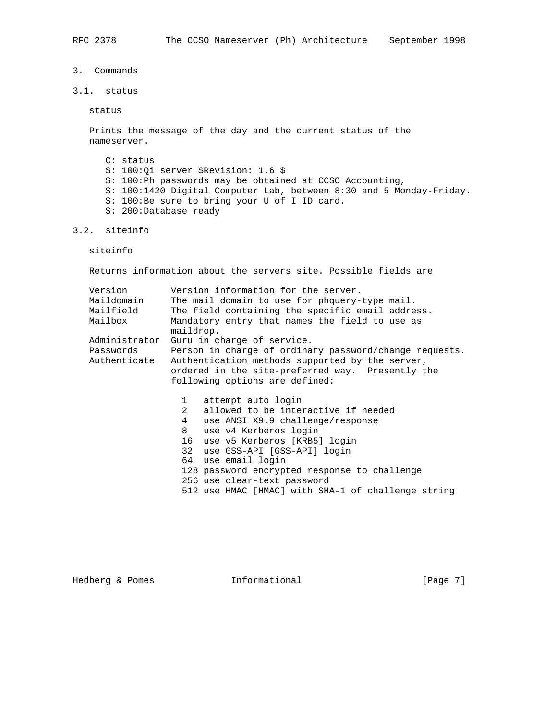- 3. Commands
- 3.1. status

status

 Prints the message of the day and the current status of the nameserver.

- C: status
- S: 100:Qi server \$Revision: 1.6 \$
- S: 100:Ph passwords may be obtained at CCSO Accounting,
- S: 100:1420 Digital Computer Lab, between 8:30 and 5 Monday-Friday.
- S: 100:Be sure to bring your U of I ID card.
- S: 200:Database ready

# 3.2. siteinfo

siteinfo

Returns information about the servers site. Possible fields are

| Version       | Version information for the server.                    |
|---------------|--------------------------------------------------------|
| Maildomain    | The mail domain to use for phquery-type mail.          |
| Mailfield     | The field containing the specific email address.       |
| Mailbox       | Mandatory entry that names the field to use as         |
|               | maildrop.                                              |
| Administrator | Guru in charge of service.                             |
| Passwords     | Person in charge of ordinary password/change requests. |
| Authenticate  | Authentication methods supported by the server,        |
|               | ordered in the site-preferred way. Presently the       |
|               | following options are defined:                         |
|               |                                                        |
|               | attempt auto login<br>$\mathbf{1}$                     |
|               | allowed to be interactive if needed<br>$2^{\circ}$     |
|               | 4<br>use ANSI X9.9 challenge/response                  |
|               | 8<br>use v4 Kerberos login                             |
|               | 16 use v5 Kerberos [KRB5] login                        |
|               | 32 use GSS-API [GSS-API] login                         |
|               | 64 use email login                                     |
|               | 128 password encrypted response to challenge           |
|               | 256 use clear-text password                            |
|               | 512 use HMAC [HMAC] with SHA-1 of challenge string     |

Hedberg & Pomes **Informational Informational** [Page 7]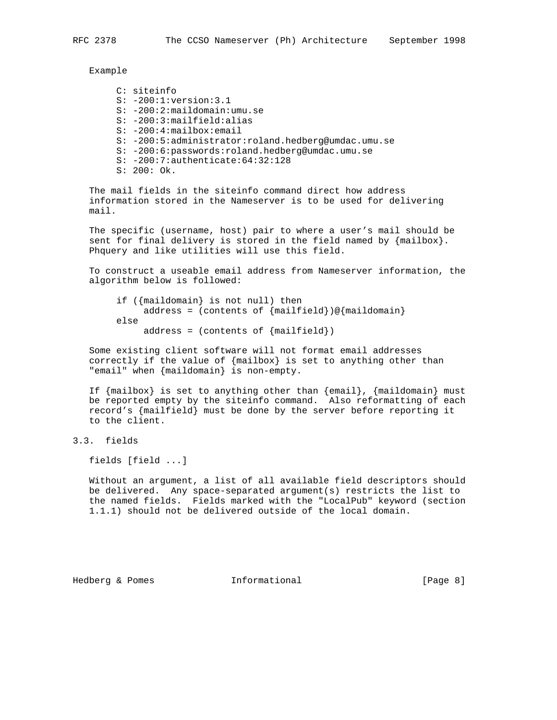Example

 C: siteinfo S: -200:1:version:3.1 S: -200:2:maildomain:umu.se S: -200:3:mailfield:alias S: -200:4:mailbox:email S: -200:5:administrator:roland.hedberg@umdac.umu.se S: -200:6:passwords:roland.hedberg@umdac.umu.se S: -200:7:authenticate:64:32:128 S: 200: Ok.

 The mail fields in the siteinfo command direct how address information stored in the Nameserver is to be used for delivering mail.

 The specific (username, host) pair to where a user's mail should be sent for final delivery is stored in the field named by  $\{mainbox\}$ . Phquery and like utilities will use this field.

 To construct a useable email address from Nameserver information, the algorithm below is followed:

 if ({maildomain} is not null) then address = (contents of  ${mailfield}$ )@ ${maildomain}$  else address =  $(contents of {mailfield})$ 

 Some existing client software will not format email addresses correctly if the value of {mailbox} is set to anything other than "email" when {maildomain} is non-empty.

 If {mailbox} is set to anything other than {email}, {maildomain} must be reported empty by the siteinfo command. Also reformatting of each record's {mailfield} must be done by the server before reporting it to the client.

3.3. fields

fields [field ...]

 Without an argument, a list of all available field descriptors should be delivered. Any space-separated argument(s) restricts the list to the named fields. Fields marked with the "LocalPub" keyword (section 1.1.1) should not be delivered outside of the local domain.

Hedberg & Pomes **Informational** [Page 8]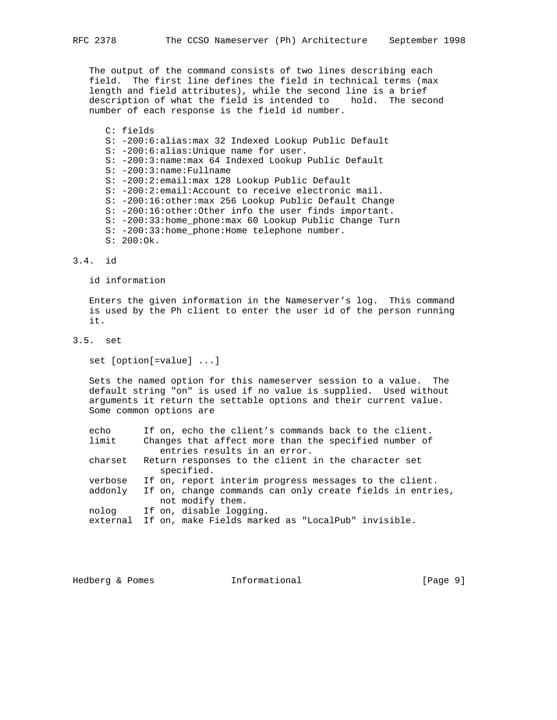The output of the command consists of two lines describing each field. The first line defines the field in technical terms (max length and field attributes), while the second line is a brief description of what the field is intended to hold. The second number of each response is the field id number.

 C: fields S: -200:6:alias:max 32 Indexed Lookup Public Default S: -200:6:alias:Unique name for user. S: -200:3:name:max 64 Indexed Lookup Public Default S: -200:3:name:Fullname S: -200:2:email:max 128 Lookup Public Default S: -200:2:email:Account to receive electronic mail. S: -200:16:other:max 256 Lookup Public Default Change S: -200:16:other:Other info the user finds important. S: -200:33:home\_phone:max 60 Lookup Public Change Turn S: -200:33:home\_phone:Home telephone number. S: 200:Ok.

### 3.4. id

id information

 Enters the given information in the Nameserver's log. This command is used by the Ph client to enter the user id of the person running it.

# 3.5. set

set [option[=value] ...]

 Sets the named option for this nameserver session to a value. The default string "on" is used if no value is supplied. Used without arguments it return the settable options and their current value. Some common options are

| echo    | If on, echo the client's commands back to the client.       |
|---------|-------------------------------------------------------------|
| limit   | Changes that affect more than the specified number of       |
|         | entries results in an error.                                |
| charset | Return responses to the client in the character set         |
|         | specified.                                                  |
| verbose | If on, report interim progress messages to the client.      |
| addonly | If on, change commands can only create fields in entries,   |
|         | not modify them.                                            |
| nolog   | If on, disable logging.                                     |
|         | external If on, make Fields marked as "LocalPub" invisible. |

Hedberg & Pomes **Informational** [Page 9]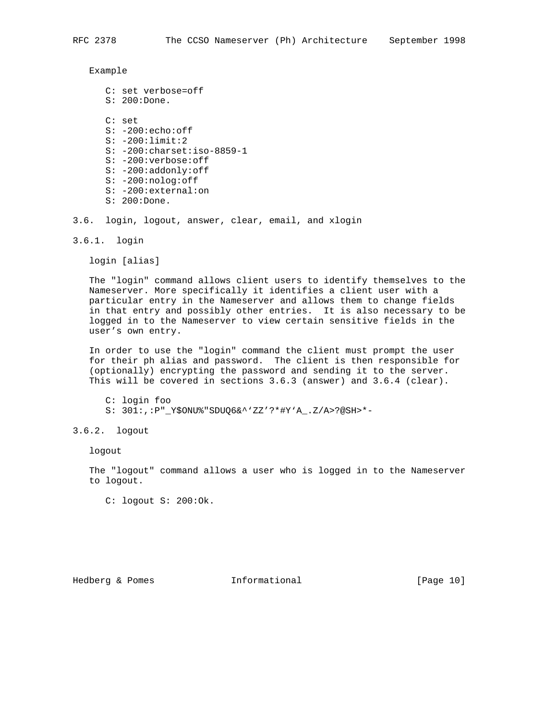Example

| C: set verbose=off<br>$S: 200:$ Done. |
|---------------------------------------|
| $C:$ set                              |
| $S: -200:$ echo $:$ off               |
| $S: -200:1$ imit:2                    |
| $S: -200:$ charset: $iso-8859-1$      |
| $S: -200:$ verbose:off                |
| $S: -200: add only: off$              |
| $S: -200:$ nolog:off                  |
| $S: -200:external:on$                 |
| $S: 200:$ Done.                       |

- 3.6. login, logout, answer, clear, email, and xlogin
- 3.6.1. login

login [alias]

 The "login" command allows client users to identify themselves to the Nameserver. More specifically it identifies a client user with a particular entry in the Nameserver and allows them to change fields in that entry and possibly other entries. It is also necessary to be logged in to the Nameserver to view certain sensitive fields in the user's own entry.

 In order to use the "login" command the client must prompt the user for their ph alias and password. The client is then responsible for (optionally) encrypting the password and sending it to the server. This will be covered in sections 3.6.3 (answer) and 3.6.4 (clear).

 C: login foo S: 301:,:P"\_Y\$ONU%"SDUQ6&^'ZZ'?\*#Y'A\_.Z/A>?@SH>\*-

## 3.6.2. logout

logout

 The "logout" command allows a user who is logged in to the Nameserver to logout.

C: logout S: 200:Ok.

Hedberg & Pomes **Informational** [Page 10]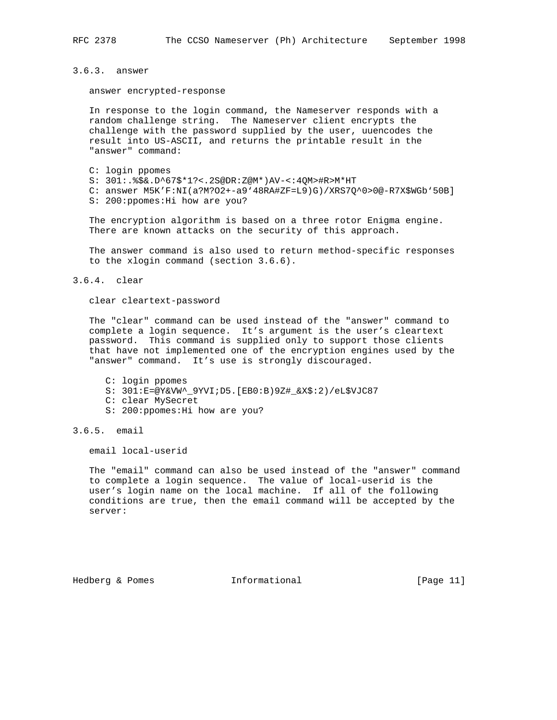# 3.6.3. answer

answer encrypted-response

 In response to the login command, the Nameserver responds with a random challenge string. The Nameserver client encrypts the challenge with the password supplied by the user, uuencodes the result into US-ASCII, and returns the printable result in the "answer" command:

- C: login ppomes
- S: 301:.%\$&.D^67\$\*1?<.2S@DR:Z@M\*)AV-<:4QM>#R>M\*HT

 C: answer M5K'F:NI(a?M?O2+-a9'48RA#ZF=L9)G)/XRS7Q^0>0@-R7X\$WGb'50B] S: 200:ppomes:Hi how are you?

 The encryption algorithm is based on a three rotor Enigma engine. There are known attacks on the security of this approach.

 The answer command is also used to return method-specific responses to the xlogin command (section 3.6.6).

## 3.6.4. clear

clear cleartext-password

 The "clear" command can be used instead of the "answer" command to complete a login sequence. It's argument is the user's cleartext password. This command is supplied only to support those clients that have not implemented one of the encryption engines used by the "answer" command. It's use is strongly discouraged.

 C: login ppomes S: 301:E=@Y&VW^\_9YVI;D5.[EB0:B)9Z#\_&X\$:2)/eL\$VJC87 C: clear MySecret S: 200:ppomes:Hi how are you?

# 3.6.5. email

email local-userid

 The "email" command can also be used instead of the "answer" command to complete a login sequence. The value of local-userid is the user's login name on the local machine. If all of the following conditions are true, then the email command will be accepted by the server:

Hedberg & Pomes **Informational** [Page 11]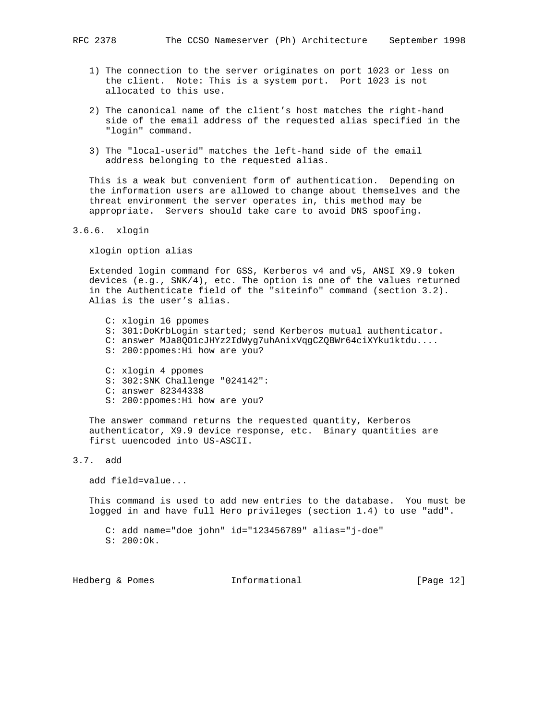- 1) The connection to the server originates on port 1023 or less on the client. Note: This is a system port. Port 1023 is not allocated to this use.
- 2) The canonical name of the client's host matches the right-hand side of the email address of the requested alias specified in the "login" command.
- 3) The "local-userid" matches the left-hand side of the email address belonging to the requested alias.

 This is a weak but convenient form of authentication. Depending on the information users are allowed to change about themselves and the threat environment the server operates in, this method may be appropriate. Servers should take care to avoid DNS spoofing.

3.6.6. xlogin

xlogin option alias

 Extended login command for GSS, Kerberos v4 and v5, ANSI X9.9 token devices (e.g., SNK/4), etc. The option is one of the values returned in the Authenticate field of the "siteinfo" command (section 3.2). Alias is the user's alias.

 C: xlogin 16 ppomes S: 301:DoKrbLogin started; send Kerberos mutual authenticator. C: answer MJa8QO1cJHYz2IdWyg7uhAnixVqgCZQBWr64ciXYku1ktdu.... S: 200:ppomes:Hi how are you? C: xlogin 4 ppomes

 S: 302:SNK Challenge "024142": C: answer 82344338 S: 200:ppomes:Hi how are you?

 The answer command returns the requested quantity, Kerberos authenticator, X9.9 device response, etc. Binary quantities are first uuencoded into US-ASCII.

# 3.7. add

add field=value...

 This command is used to add new entries to the database. You must be logged in and have full Hero privileges (section 1.4) to use "add".

 C: add name="doe john" id="123456789" alias="j-doe" S: 200:Ok.

Hedberg & Pomes **Informational** [Page 12]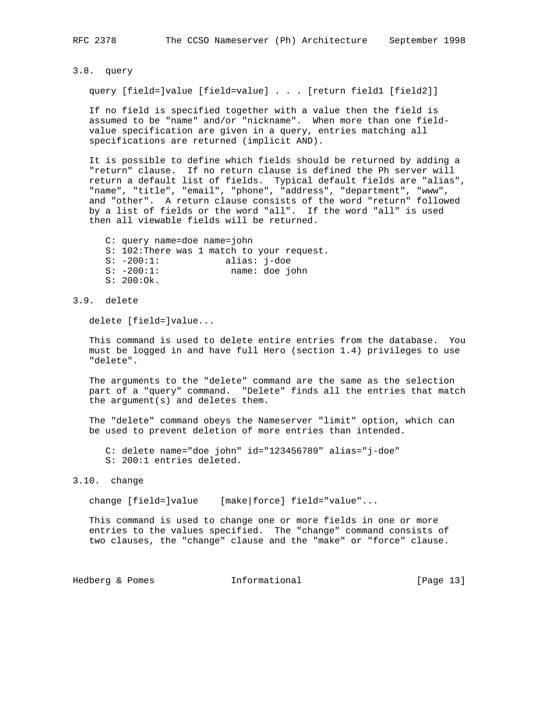## 3.8. query

query [field=]value [field=value] . . . [return field1 [field2]]

 If no field is specified together with a value then the field is assumed to be "name" and/or "nickname". When more than one field value specification are given in a query, entries matching all specifications are returned (implicit AND).

 It is possible to define which fields should be returned by adding a "return" clause. If no return clause is defined the Ph server will return a default list of fields. Typical default fields are "alias", "name", "title", "email", "phone", "address", "department", "www", and "other". A return clause consists of the word "return" followed by a list of fields or the word "all". If the word "all" is used then all viewable fields will be returned.

 C: query name=doe name=john S: 102:There was 1 match to your request. S: -200:1: alias: j-doe S: -200:1: name: doe john S: 200:Ok.

3.9. delete

delete [field=]value...

 This command is used to delete entire entries from the database. You must be logged in and have full Hero (section 1.4) privileges to use "delete".

 The arguments to the "delete" command are the same as the selection part of a "query" command. "Delete" finds all the entries that match the argument(s) and deletes them.

 The "delete" command obeys the Nameserver "limit" option, which can be used to prevent deletion of more entries than intended.

 C: delete name="doe john" id="123456789" alias="j-doe" S: 200:1 entries deleted.

# 3.10. change

change [field=]value [make|force] field="value"...

 This command is used to change one or more fields in one or more entries to the values specified. The "change" command consists of two clauses, the "change" clause and the "make" or "force" clause.

Hedberg & Pomes **Informational** [Page 13]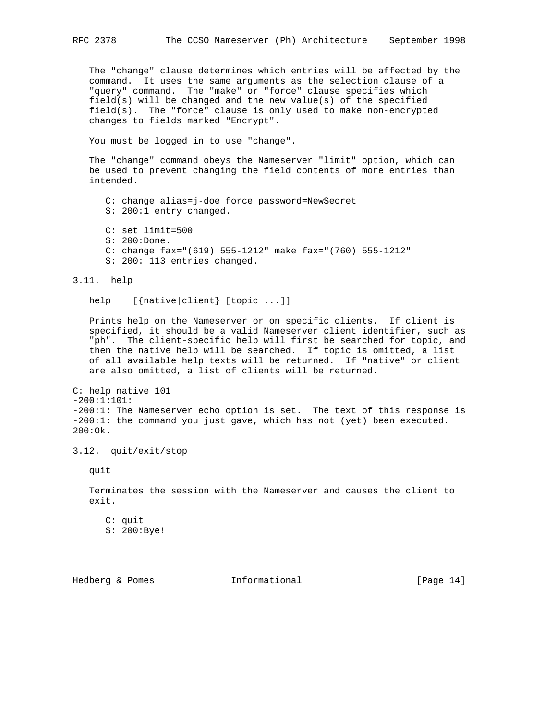The "change" clause determines which entries will be affected by the command. It uses the same arguments as the selection clause of a "query" command. The "make" or "force" clause specifies which field(s) will be changed and the new value(s) of the specified field(s). The "force" clause is only used to make non-encrypted changes to fields marked "Encrypt".

You must be logged in to use "change".

 The "change" command obeys the Nameserver "limit" option, which can be used to prevent changing the field contents of more entries than intended.

 C: change alias=j-doe force password=NewSecret S: 200:1 entry changed. C: set limit=500

- S: 200:Done.
- C: change fax="(619) 555-1212" make fax="(760) 555-1212" S: 200: 113 entries changed.
- 3.11. help

help [{native|client} [topic ...]]

Prints help on the Nameserver or on specific clients. If client is specified, it should be a valid Nameserver client identifier, such as "ph". The client-specific help will first be searched for topic, and then the native help will be searched. If topic is omitted, a list of all available help texts will be returned. If "native" or client are also omitted, a list of clients will be returned.

C: help native 101 -200:1:101: -200:1: The Nameserver echo option is set. The text of this response is -200:1: the command you just gave, which has not (yet) been executed. 200:Ok.

3.12. quit/exit/stop

quit

 Terminates the session with the Nameserver and causes the client to exit.

 C: quit S: 200:Bye!

Hedberg & Pomes **Informational** [Page 14]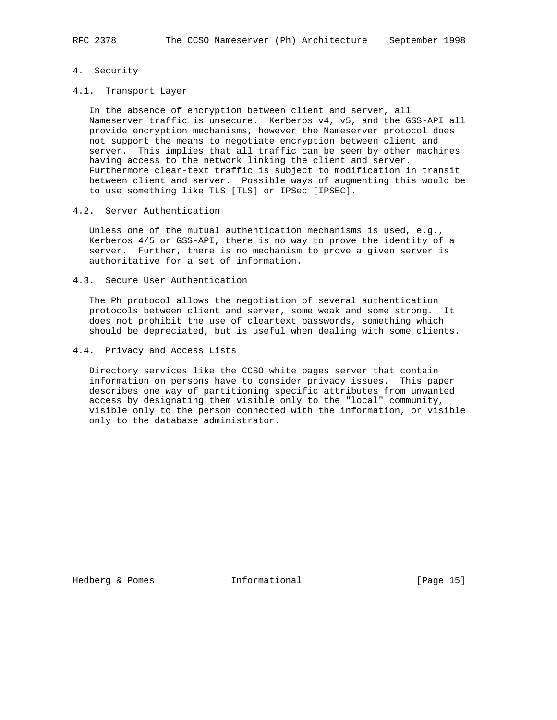# 4. Security

## 4.1. Transport Layer

 In the absence of encryption between client and server, all Nameserver traffic is unsecure. Kerberos v4, v5, and the GSS-API all provide encryption mechanisms, however the Nameserver protocol does not support the means to negotiate encryption between client and server. This implies that all traffic can be seen by other machines having access to the network linking the client and server. Furthermore clear-text traffic is subject to modification in transit between client and server. Possible ways of augmenting this would be to use something like TLS [TLS] or IPSec [IPSEC].

# 4.2. Server Authentication

 Unless one of the mutual authentication mechanisms is used, e.g., Kerberos 4/5 or GSS-API, there is no way to prove the identity of a server. Further, there is no mechanism to prove a given server is authoritative for a set of information.

4.3. Secure User Authentication

 The Ph protocol allows the negotiation of several authentication protocols between client and server, some weak and some strong. It does not prohibit the use of cleartext passwords, something which should be depreciated, but is useful when dealing with some clients.

4.4. Privacy and Access Lists

 Directory services like the CCSO white pages server that contain information on persons have to consider privacy issues. This paper describes one way of partitioning specific attributes from unwanted access by designating them visible only to the "local" community, visible only to the person connected with the information, or visible only to the database administrator.

Hedberg & Pomes **Informational** [Page 15]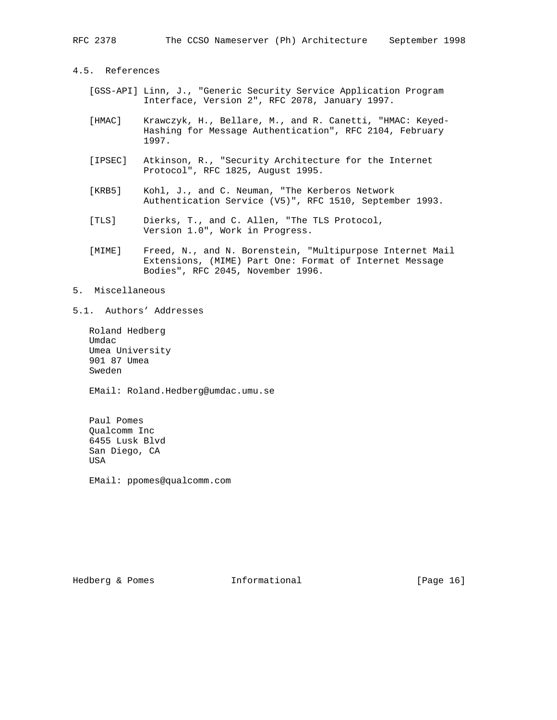# 4.5. References

- [GSS-API] Linn, J., "Generic Security Service Application Program Interface, Version 2", RFC 2078, January 1997.
- [HMAC] Krawczyk, H., Bellare, M., and R. Canetti, "HMAC: Keyed- Hashing for Message Authentication", RFC 2104, February 1997.
- [IPSEC] Atkinson, R., "Security Architecture for the Internet Protocol", RFC 1825, August 1995.
- [KRB5] Kohl, J., and C. Neuman, "The Kerberos Network Authentication Service (V5)", RFC 1510, September 1993.
- [TLS] Dierks, T., and C. Allen, "The TLS Protocol, Version 1.0", Work in Progress.
- [MIME] Freed, N., and N. Borenstein, "Multipurpose Internet Mail Extensions, (MIME) Part One: Format of Internet Message Bodies", RFC 2045, November 1996.

# 5. Miscellaneous

5.1. Authors' Addresses

 Roland Hedberg Umdac Umea University 901 87 Umea Sweden

EMail: Roland.Hedberg@umdac.umu.se

 Paul Pomes Qualcomm Inc 6455 Lusk Blvd San Diego, CA USA

EMail: ppomes@qualcomm.com

Hedberg & Pomes **Informational** [Page 16]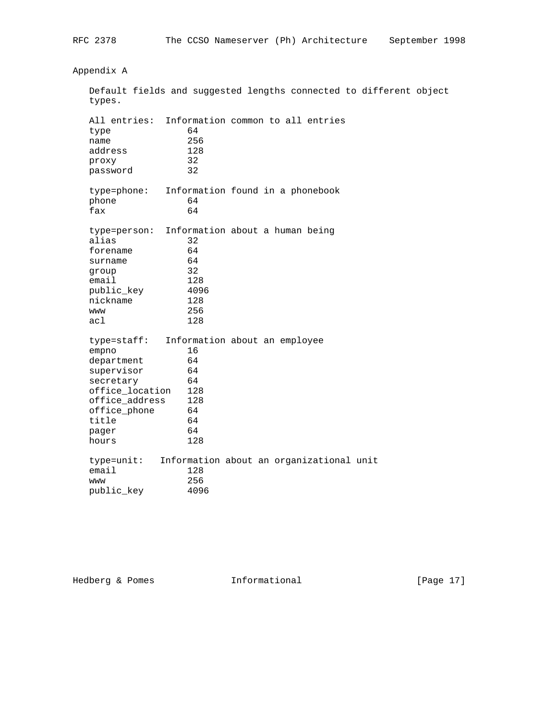Appendix A

 Default fields and suggested lengths connected to different object types. All entries: Information common to all entries<br>type 64 type 64<br>
name 256 name address 128 proxy 32 password 32 type=phone: Information found in a phonebook phone 64 fax 64 type=person: Information about a human being alias 32 forename 64 surname 64 group 32 email 128<br>public\_key 4096 public\_key nickname 128 www 256 acl 128 type=staff: Information about an employee empno 16<br>department 64 department 64<br>supervisor 64 supervisor secretary 64 office\_location 128 office\_address 128<br>office phone 64 office\_phone 64<br>title 64

public\_key

pager

title 64<br>pager 64

hours 128

email 128<br>www 256 www 256<br>
public key 4096

type=unit: Information about an organizational unit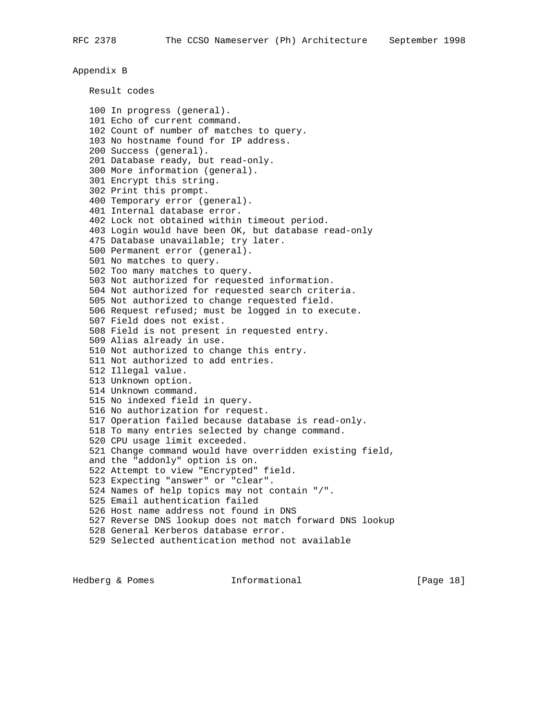Appendix B

Result codes

 100 In progress (general). 101 Echo of current command. 102 Count of number of matches to query. 103 No hostname found for IP address. 200 Success (general). 201 Database ready, but read-only. 300 More information (general). 301 Encrypt this string. 302 Print this prompt. 400 Temporary error (general). 401 Internal database error. 402 Lock not obtained within timeout period. 403 Login would have been OK, but database read-only 475 Database unavailable; try later. 500 Permanent error (general). 501 No matches to query. 502 Too many matches to query. 503 Not authorized for requested information. 504 Not authorized for requested search criteria. 505 Not authorized to change requested field. 506 Request refused; must be logged in to execute. 507 Field does not exist. 508 Field is not present in requested entry. 509 Alias already in use. 510 Not authorized to change this entry. 511 Not authorized to add entries. 512 Illegal value. 513 Unknown option. 514 Unknown command. 515 No indexed field in query. 516 No authorization for request. 517 Operation failed because database is read-only. 518 To many entries selected by change command. 520 CPU usage limit exceeded. 521 Change command would have overridden existing field, and the "addonly" option is on. 522 Attempt to view "Encrypted" field. 523 Expecting "answer" or "clear". 524 Names of help topics may not contain "/". 525 Email authentication failed 526 Host name address not found in DNS 527 Reverse DNS lookup does not match forward DNS lookup 528 General Kerberos database error. 529 Selected authentication method not available

Hedberg & Pomes **Informational** [Page 18]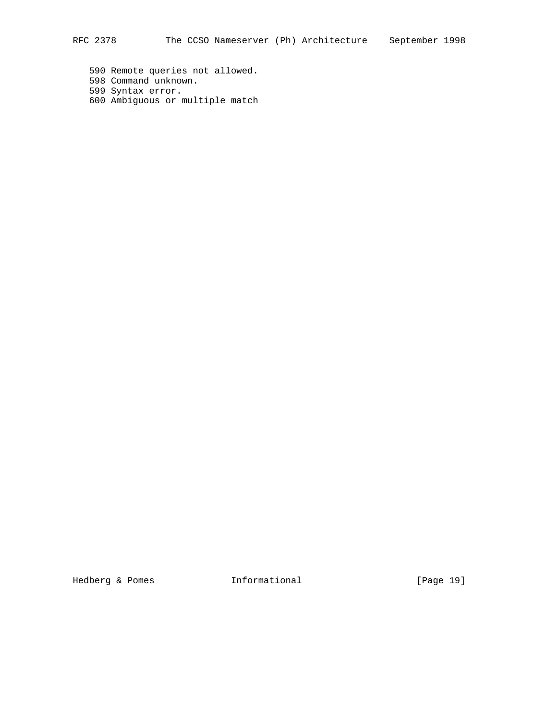590 Remote queries not allowed. 598 Command unknown. 599 Syntax error. 600 Ambiguous or multiple match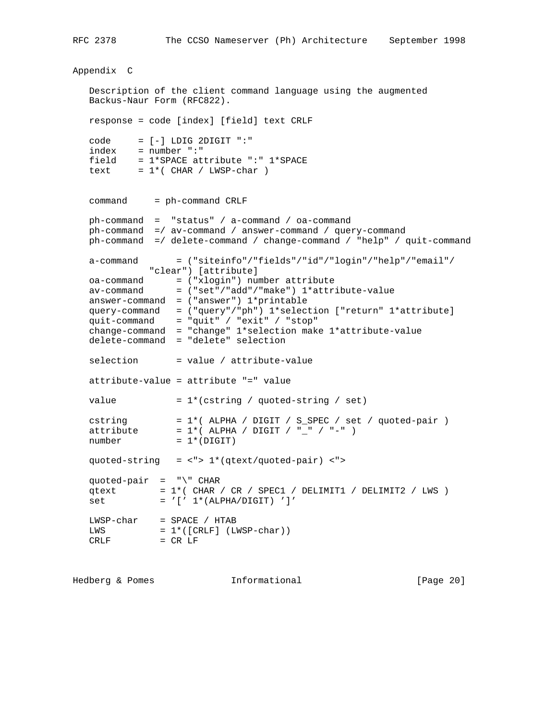```
Appendix C
   Description of the client command language using the augmented
   Backus-Naur Form (RFC822).
   response = code [index] [field] text CRLF
  code = [-] LDIG 2DIGIT " : " index = number ":"
   field = 1*SPACE attribute ":" 1*SPACE
  text = 1*(CHAR / LWSP-char) command = ph-command CRLF
 ph-command = "status" / a-command / oa-command
 ph-command =/ av-command / answer-command / query-command
 ph-command =/ delete-command / change-command / "help" / quit-command
   a-command = ("siteinfo"/"fields"/"id"/"login"/"help"/"email"/
             "clear") [attribute]
   oa-command = ("xlogin") number attribute
   av-command = ("set"/"add"/"make") 1*attribute-value
  answer-command = ("answer") 1*printable
 query-command = ("query"/"ph") 1*selection ["return" 1*attribute]
 quit-command = "quit" / "exit" / "stop"
 change-command = "change" 1*selection make 1*attribute-value
 delete-command = "delete" selection
  selection = value / attribute-value
   attribute-value = attribute "=" value
  value = 1*(\text{cstring } / \text{ quoted-string } / \text{set})cstring = 1*( ALPHA / DIGIT / S_SPEC / set / quoted-pair )
attribute = 1*( ALPHA / DIGIT / "\_" / "-" )
number = 1*(DIST) quoted-string = <"> 1*(qtext/quoted-pair) <">
  quoted-pair = "\ CHAR
  qtext = 1*( CHAR / CR / SPEC1 / DELIMIT1 / DELIMIT2 / LWS )
  set = '[' 1*(ALPHA/DIGIT)']'
 LWSP-char = SPACE / HTAB
LWS = 1*([CRLF] (LWSP-char))CRLF = CRLF
```
Hedberg & Pomes **Informational** [Page 20]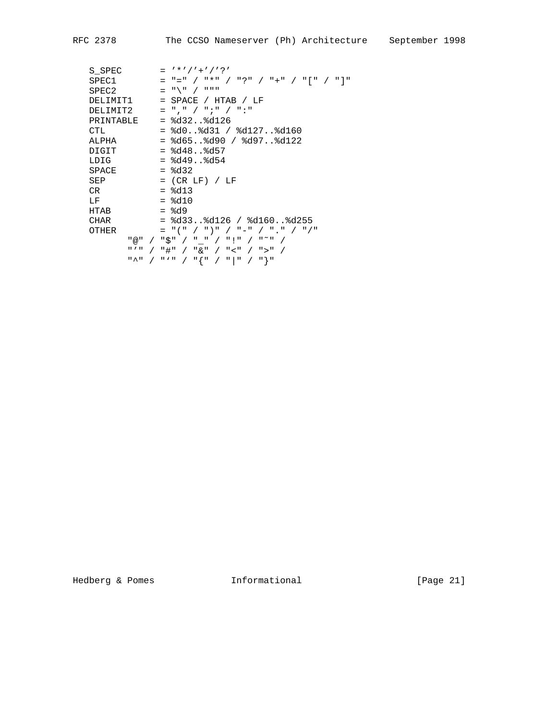| S SPEC                                 | $=$ '*'/'+'/'?'                     |  |
|----------------------------------------|-------------------------------------|--|
| SPEC1                                  | = "=" / "*" / "?" / "+" / "[" / "]" |  |
| SPEC2                                  | $=$ " $\langle$ " $/$ " " " "       |  |
| DELIMIT1                               | $=$ SPACE / HTAB / LF               |  |
| DELIMIT <sub>2</sub>                   | = "," / ";" / ":"                   |  |
| PRINTABLE                              | $=$ $232.8d126$                     |  |
| <b>CTL</b>                             | = %d0%d31 / %d127%d160              |  |
| ALPHA                                  | $=$ %d65%d90 / %d97%d122            |  |
| DIGIT                                  | $=$ $8d48.$ , $8d57$                |  |
| LDIG                                   | $=$ $649.8d54$                      |  |
| SPACE                                  | $=$ $8d32$                          |  |
| SEP                                    | $=$ (CR LF) / LF                    |  |
| CR                                     | $=$ $8d13$                          |  |
| LF                                     | $=$ $8d10$                          |  |
| <b>HTAR</b>                            | $=$ $8d9$                           |  |
| <b>CHAR</b>                            | $=$ $633.$ . $6126 / 6160$ $6255$   |  |
| OTHER                                  | = "(" / ")" / "-" / "." / "/"       |  |
| " @ "                                  | / "\$" / " " / "!" / "~" /          |  |
| $\mathbf{H}$ $\mathbf{V}$ $\mathbf{H}$ | / "#" / "&" / "<" / ">" /           |  |
|                                        | / " ' ' / " { " / "   " / " } "     |  |
|                                        |                                     |  |